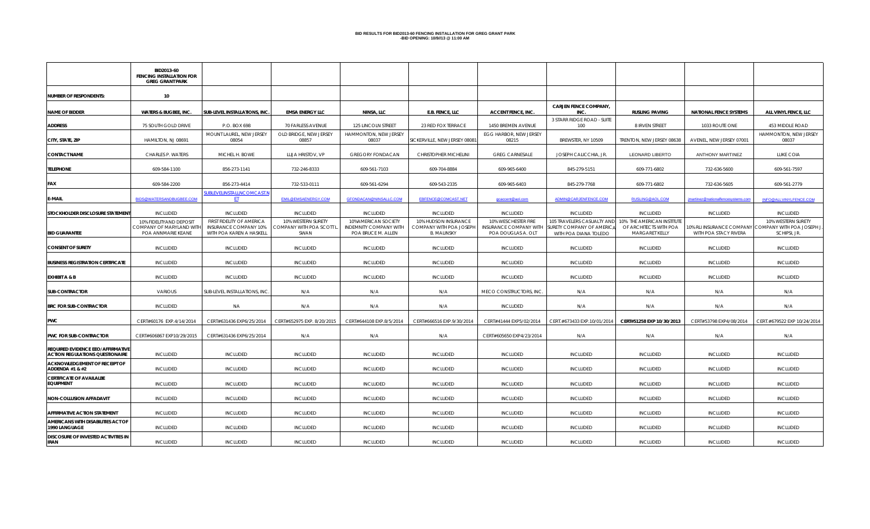# **BID RESULTS FOR BID2013-60 FENCING INSTALLATION FOR GREG GRANT PARK -BID OPENING: 10/9//13 @ 11:00 AM**

|                                                                                    | BID2013-60<br><b>FENCING INSTALLATION FOR</b><br><b>GREG GRANT PARK</b>   |                                                                                |                                                        |                                                                     |                                                                       |                                                                     |                                                                             |                                                                         |                                    |                                                                                           |
|------------------------------------------------------------------------------------|---------------------------------------------------------------------------|--------------------------------------------------------------------------------|--------------------------------------------------------|---------------------------------------------------------------------|-----------------------------------------------------------------------|---------------------------------------------------------------------|-----------------------------------------------------------------------------|-------------------------------------------------------------------------|------------------------------------|-------------------------------------------------------------------------------------------|
| <b>NUMBER OF RESPONDENTS:</b>                                                      | 10                                                                        |                                                                                |                                                        |                                                                     |                                                                       |                                                                     |                                                                             |                                                                         |                                    |                                                                                           |
| <b>NAME OF BIDDER</b>                                                              | <b>WATERS &amp; BUGBEE, INC.</b>                                          | SUB-LEVEL INSTALLATIONS, INC                                                   | <b>EMSA ENERGY LLC</b>                                 | NINSA, LLC                                                          | <b>E.B. FENCE, LLC</b>                                                | <b>ACCENT FENCE, INC.</b>                                           | <b>CARJEN FENCE COMPANY,</b><br>INC.                                        | <b>RUSLING PAVING</b>                                                   | <b>NATIONAL FENCE SYSTEMS</b>      | ALL VINYL FENCE, LLC                                                                      |
| <b>ADDRESS</b>                                                                     | 75 SOUTH GOLD DRIVE                                                       | P.O. BOX 698                                                                   | 70 FARLESS AVENUE                                      | 125 LINCOLN STREET                                                  | 23 RED FOX TERRACE                                                    | 1450 BREMEN AVENUE                                                  | 3 STARR RIDGE ROAD - SUITE<br>100                                           | 8 IRVEN STREET                                                          | 1033 ROUTE ONE                     | 453 MIDDLE ROAD                                                                           |
| CITY, STATE, ZIP                                                                   | HAMILTON, NJ 08691                                                        | MOUNT LAUREL, NEW JERSEY<br>08054                                              | OLD BRIDGE, NEW JERSEY<br>08857                        | HAMMONTON, NEW JERSEY<br>08037                                      | SICKERVILLE, NEW JERSEY 08081                                         | EGG HARBOR, NEW JERSEY<br>08215                                     | BREWSTER, NY 10509                                                          | TRENTON, NEW JERSEY 08638                                               | AVENEL, NEW JERSEY 07001           | HAMMONTON, NEW JERSEY<br>08037                                                            |
| <b>CONTACT NAME</b>                                                                | CHARLES P. WATERS                                                         | MICHEL H. BOWE                                                                 | LLIJA HRISTOV, VP                                      | <b>GREGORY FONDACAN</b>                                             | CHRISTOPHER MICHELINI                                                 | <b>GREG CARNESALE</b>                                               | JOSEPH CALICCHIA, JR.                                                       | <b>LEONARD LIBERTO</b>                                                  | <b>ANTHONY MARTINEZ</b>            | <b>LUKE COIA</b>                                                                          |
| <b>TELEPHONE</b>                                                                   | 609-584-1100                                                              | 856-273-1141                                                                   | 732-246-8333                                           | 609-561-7103                                                        | 609-704-8884                                                          | 609-965-6400                                                        | 845-279-5151                                                                | 609-771-6802                                                            | 732-636-5600                       | 609-561-7597                                                                              |
| FAX                                                                                | 609-584-2200                                                              | 856-273-4414                                                                   | 732-533-0111                                           | 609-561-6294                                                        | 609-543-2335                                                          | 609-965-6403                                                        | 845-279-7768                                                                | 609-771-6802                                                            | 732-636-5605                       | 609-561-2779                                                                              |
| E-MAIL                                                                             | BIDS@WATERSANDBUGBEE.COM                                                  | SUBLEVELINSTALLNCOMCAST.M<br>肛                                                 | EMIL@EMSAENERGY.COM                                    | GFONDACAN@NINSALLC.COM                                              | EBFENCE@COMCAST.NET                                                   | gcaccent@aol.com                                                    | ADMIN@CARJENFENCE.COM                                                       | RUSLING@AOL.COM                                                         | jmartinez@nationalfencesystems.com | INFO@ALLVINYLFENCE.COM                                                                    |
| STOCKHOLDER DISCLOSURE STATEMENT                                                   | <b>INCLUDED</b>                                                           | <b>INCLUDED</b>                                                                | <b>INCLUDED</b>                                        | <b>INCLUDED</b>                                                     | <b>INCLUDED</b>                                                       | <b>INCLUDED</b>                                                     | <b>INCLUDED</b>                                                             | <b>INCLUDED</b>                                                         | <b>INCLUDED</b>                    | INCLUDED                                                                                  |
| <b>BID GUARANTEE</b>                                                               | 10% FIDELITYAND DEPOSIT<br>COMPANY OF MARYLAND WITH<br>POA ANNMARIE KEANE | FIRST FIDELITY OF AMERICA<br>INSURANCE COMPANY 10%<br>WITH POA KAREN A HASKELL | 10% WESTERN SURETY<br>COMPANY WITH POA SCOTT L<br>SWAN | 10%AMERICAN SOCIETY<br>INDEMNITY COMPANY WITH<br>POA BRUCE M. ALLEN | 10% HUDSON INSURANCE<br>COMPANY WITH POA JOSEPH<br><b>B. MALINSKY</b> | 10% WESCHESTER FIRE<br>INSURANCE COMPANY WITH<br>POA DOUGLAS A. OLT | SURETY COMPANY OF AMERICA   OF ARCHITECTS WITH POA<br>WITH POA DIANA TOLEDO | 105 TRAVELERS CASUALTY AND 10% THE AMERICAN INSTITUTE<br>MARGARET KELLY | WITH POA STACY RIVERA              | 10% WESTERN SURETY<br>10% RLI INSURANCE COMPANY COMPANY WITH POA JOSEPH J<br>SCHIPSI, JR. |
| <b>CONSENT OF SURETY</b>                                                           | INCLUDED                                                                  | INCLUDED                                                                       | <b>INCLUDED</b>                                        | <b>INCLUDED</b>                                                     | <b>INCLUDED</b>                                                       | <b>INCLUDED</b>                                                     | <b>INCLUDED</b>                                                             | INCLUDED                                                                | <b>INCLUDED</b>                    | <b>INCLUDED</b>                                                                           |
| <b>BUSINESS REGISTRATION CERTIFICATE</b>                                           | <b>INCLUDED</b>                                                           | <b>INCLUDED</b>                                                                | <b>INCLUDED</b>                                        | <b>INCLUDED</b>                                                     | <b>INCLUDED</b>                                                       | <b>INCLUDED</b>                                                     | <b>INCLUDED</b>                                                             | <b>INCLUDED</b>                                                         | <b>INCLUDED</b>                    | INCLUDED                                                                                  |
| <b>EXHIBIT A &amp; B</b>                                                           | <b>INCLUDED</b>                                                           | <b>INCLUDED</b>                                                                | <b>INCLUDED</b>                                        | <b>INCLUDED</b>                                                     | <b>INCLUDED</b>                                                       | <b>INCLUDED</b>                                                     | <b>INCLUDED</b>                                                             | INCLUDED                                                                | <b>INCLUDED</b>                    | <b>INCLUDED</b>                                                                           |
| <b>SUB-CONTRACTOR</b>                                                              | VARIOUS                                                                   | SUB-LEVEL INSTALLATIONS, INC                                                   | N/A                                                    | N/A                                                                 | N/A                                                                   | MECO CONSTRUCTORS, INC.                                             | N/A                                                                         | N/A                                                                     | N/A                                | N/A                                                                                       |
| <b>BRC FOR SUB-CONTRACTOR</b>                                                      | <b>INCLUDED</b>                                                           | NA.                                                                            | N/A                                                    | N/A                                                                 | N/A                                                                   | <b>INCLUDED</b>                                                     | N/A                                                                         | N/A                                                                     | N/A                                | N/A                                                                                       |
| <b>PWC</b>                                                                         | CERT#60176 EXP.4/14/2014                                                  | CERT#631436 EXP6/25/2014                                                       | CERT#652975 EXP. 8/20/2015                             | CERT#644108 EXP.8/5/2014                                            | CERT#666516 EXP.9/30/2014                                             | CERT#41444 EXP5/02/2014                                             | CERT.#673433 EXP.10/01/2014                                                 | CERT#51258 EXP 10/30/2013                                               | CERT#53798 EXP4/08/2014            | CERT.#679522 EXP 10/24/2014                                                               |
| <b>PWC FOR SUB-CONTRACTOR</b>                                                      | CERT#606867 EXP10/29/2015                                                 | CERT#631436 EXP6/25/2014                                                       | N/A                                                    | N/A                                                                 | N/A                                                                   | CERT#605650 EXP4/23/2014                                            | N/A                                                                         | N/A                                                                     | N/A                                | N/A                                                                                       |
| <b>REQUIRED EVIDENCE EEO/AFFIRMATIVE</b><br><b>ACTION REGULATIONS QUESTIONAIRE</b> | <b>INCLUDED</b>                                                           | <b>INCLUDED</b>                                                                | <b>INCLUDED</b>                                        | <b>INCLUDED</b>                                                     | <b>INCLUDED</b>                                                       | <b>INCLUDED</b>                                                     | INCLUDED                                                                    | <b>INCLUDED</b>                                                         | <b>INCLUDED</b>                    | INCLUDED                                                                                  |
| <b>ACKNOWLEDGEMENT OF RECEIPT OF</b><br>ADDENDA #1 & #2                            | INCLUDED                                                                  | INCLUDED                                                                       | <b>INCLUDED</b>                                        | INCLUDED                                                            | <b>INCLUDED</b>                                                       | <b>INCLUDED</b>                                                     | <b>INCLUDED</b>                                                             | INCLUDED                                                                | <b>INCLUDED</b>                    | <b>INCLUDED</b>                                                                           |
| <b>CERTIFICATE OF AVAILALBE</b><br><b>EQUIPMENT</b>                                | <b>INCLUDED</b>                                                           | <b>INCLUDED</b>                                                                | <b>INCLUDED</b>                                        | INCLUDED                                                            | <b>INCLUDED</b>                                                       | <b>INCLUDED</b>                                                     | <b>INCLUDED</b>                                                             | <b>INCLUDED</b>                                                         | <b>INCLUDED</b>                    | <b>INCLUDED</b>                                                                           |
| <b>NON-COLLUSION AFFADAVIT</b>                                                     | <b>INCLUDED</b>                                                           | <b>INCLUDED</b>                                                                | <b>INCLUDED</b>                                        | <b>INCLUDED</b>                                                     | <b>INCLUDED</b>                                                       | <b>INCLUDED</b>                                                     | <b>INCLUDED</b>                                                             | <b>INCLUDED</b>                                                         | <b>INCLUDED</b>                    | INCLUDED                                                                                  |
| <b>AFFIRMATIVE ACTION STATEMENT</b>                                                | <b>INCLUDED</b>                                                           | <b>INCLUDED</b>                                                                | <b>INCLUDED</b>                                        | <b>INCLUDED</b>                                                     | <b>INCLUDED</b>                                                       | <b>INCLUDED</b>                                                     | <b>INCLUDED</b>                                                             | <b>INCLUDED</b>                                                         | <b>INCLUDED</b>                    | <b>INCLUDED</b>                                                                           |
| AMERICANS WITH DISABILITIES ACT OF<br>1990 LANGUAGE                                | <b>INCLUDED</b>                                                           | <b>INCLUDED</b>                                                                | <b>INCLUDED</b>                                        | INCLUDED                                                            | <b>INCLUDED</b>                                                       | <b>INCLUDED</b>                                                     | <b>INCLUDED</b>                                                             | INCLUDED                                                                | <b>INCLUDED</b>                    | INCLUDED                                                                                  |
| <b>DISCOSURE OF INVESTED ACTIVITIES IN</b><br><b>IRAN</b>                          | <b>INCLUDED</b>                                                           | <b>INCLUDED</b>                                                                | <b>INCLUDED</b>                                        | <b>INCLUDED</b>                                                     | <b>INCLUDED</b>                                                       | <b>INCLUDED</b>                                                     | <b>INCLUDED</b>                                                             | <b>INCLUDED</b>                                                         | <b>INCLUDED</b>                    | <b>INCLUDED</b>                                                                           |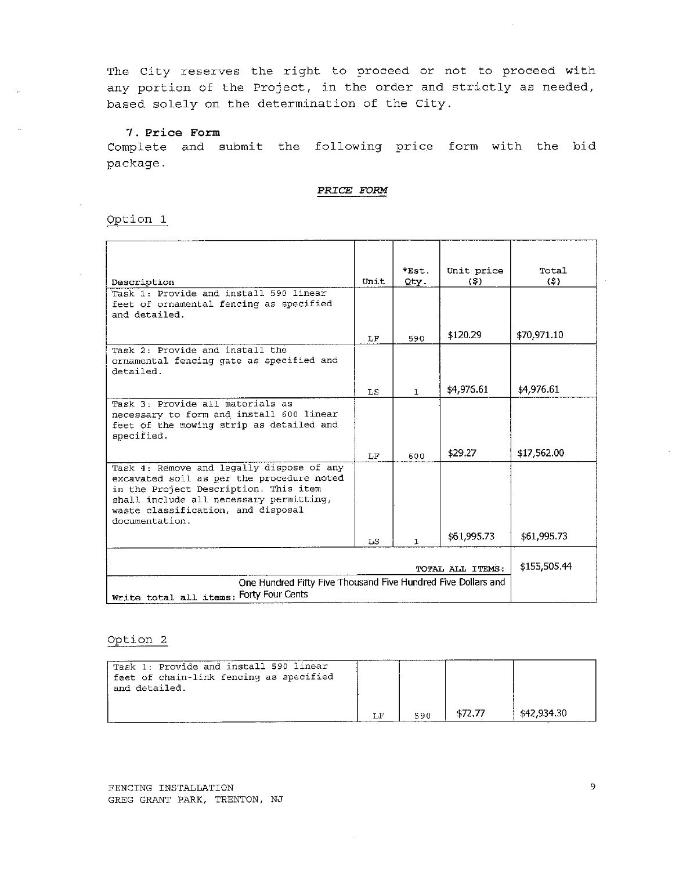### 7. Price Form

Complete and submit the following price form with the bid package.

#### PRICE FORM

#### Option 1

|                                                                                      |      | Est.         | Unit price       | Total.       |
|--------------------------------------------------------------------------------------|------|--------------|------------------|--------------|
| Description                                                                          | Unit | Qty.         | (S)              | $($ \$)      |
| Task 1: Provide and install 590 linear                                               |      |              |                  |              |
| feet of ornamental fencing as specified                                              |      |              |                  |              |
| and detailed.                                                                        |      |              |                  |              |
|                                                                                      | LF   | 590          | \$120.29         | \$70,971.10  |
| Task 2: Provide and install the                                                      |      |              |                  |              |
| ornamental fencing gate as specified and                                             |      |              |                  |              |
| detailed.                                                                            |      |              |                  |              |
|                                                                                      |      |              |                  |              |
|                                                                                      | LS   | $\mathbf{1}$ | \$4,976.61       | \$4,976.61   |
| Task 3: Provide all materials as                                                     |      |              |                  |              |
| necessary to form and install 600 linear<br>feet of the mowing strip as detailed and |      |              |                  |              |
| specified.                                                                           |      |              |                  |              |
|                                                                                      |      |              |                  |              |
|                                                                                      | LF   | 600          | \$29.27          | \$17,562.00  |
| Task 4: Remove and legally dispose of any                                            |      |              |                  |              |
| excavated soil as per the procedure noted                                            |      |              |                  |              |
| in the Project Description. This item                                                |      |              |                  |              |
| shall include all necessary permitting,                                              |      |              |                  |              |
| waste classification, and disposal<br>documentation.                                 |      |              |                  |              |
|                                                                                      |      |              |                  |              |
|                                                                                      | LS   | $\mathbf{1}$ | \$61,995.73      | \$61,995.73  |
|                                                                                      |      |              |                  |              |
|                                                                                      |      |              | TOTAL ALL ITEMS: | \$155,505.44 |
| One Hundred Fifty Five Thousand Five Hundred Five Dollars and                        |      |              |                  |              |
| Write total all items: Forty Four Cents                                              |      |              |                  |              |

#### Option<sub>2</sub>

| Task 1: Provide and install 590 linear<br>feet of chain-link fencing as specified<br>and detailed. |     |             |
|----------------------------------------------------------------------------------------------------|-----|-------------|
|                                                                                                    | 590 | \$42,934.30 |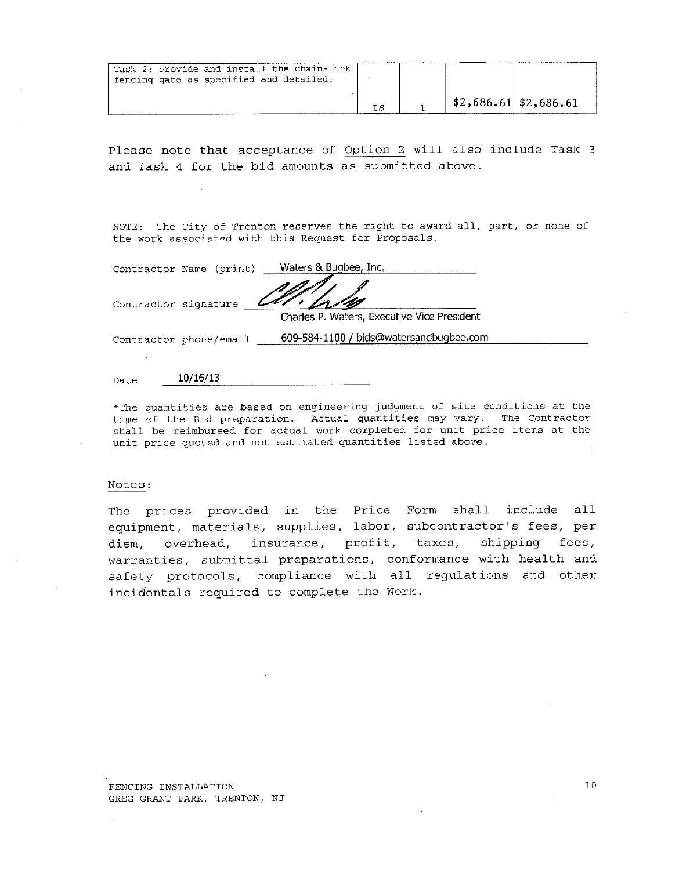| Task 2: Provide and install the chain-link<br>fencing gate as specified and detailed. |    |                         |  |
|---------------------------------------------------------------------------------------|----|-------------------------|--|
|                                                                                       | LS | $$2,686.61$ $$2,686.61$ |  |

NOTE: The City of Trenton reserves the right to award all, part, or none of the work associated with this Request for Proposals.

Contractor Name (print) \_ Waters & Bugbee, Inc.

Contractor signature

Charles P. Waters, Executive Vice President

Contractor phone/email 609-584-1100 / bids@watersandbugbee.com

 $10/16/13$ Date

\*The quantities are based on engineering judgment of site conditions at the time of the Bid preparation. Actual quantities may vary. The Contractor shall be reimbursed for actual work completed for unit price items at the unit price quoted and not estimated quantities listed above.

#### Notes:

The prices provided in the Price Form shall include all equipment, materials, supplies, labor, subcontractor's fees, per diem, overhead, insurance, profit, taxes, shipping fees, warranties, submittal preparations, conformance with health and safety protocols, compliance with all regulations and other incidentals required to complete the Work.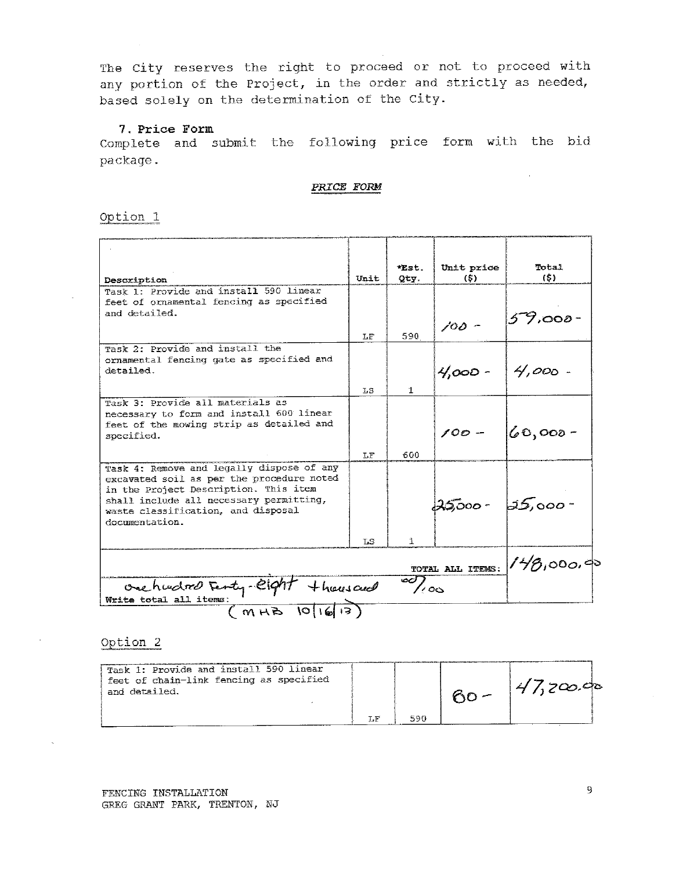#### 7. Price Form

Complete and submit the following price form with the bid package.

PRICE FORM

Option<sub>1</sub>

| Description                                                                      | Unit | *Est.<br>Qty.       | Unit price<br>(5) | Total<br>(5)                |
|----------------------------------------------------------------------------------|------|---------------------|-------------------|-----------------------------|
| Task 1: Provide and install 590 linear                                           |      |                     |                   |                             |
| feet of ornamental fencing as specified                                          |      |                     |                   |                             |
| and detailed.                                                                    |      |                     |                   | 59,000-                     |
|                                                                                  | LF   | 590                 | $100 -$           |                             |
| Task 2: Provide and install the                                                  |      |                     |                   |                             |
| ornamental fencing gate as specified and                                         |      |                     |                   |                             |
| detailed.                                                                        |      |                     | $4,000 - 4,000 -$ |                             |
|                                                                                  | 7.S  | $\mathbf{1}$        |                   |                             |
| Task 3: Provide all materials as                                                 |      |                     |                   |                             |
| necessary to form and install 600 linear                                         |      |                     |                   |                             |
| feet of the mowing strip as detailed and                                         |      |                     | $100 -$           | $60,000 -$                  |
| specified.                                                                       |      |                     |                   |                             |
|                                                                                  | LF   | 600                 |                   |                             |
| Task 4: Remove and legally dispose of any                                        |      |                     |                   |                             |
| excavated soil as per the procedure noted                                        |      |                     |                   |                             |
| in the Project Description. This item<br>shall include all necessary permitting, |      |                     |                   |                             |
| waste classification, and disposal                                               |      |                     | $25000 - 25000 -$ |                             |
| documentation.                                                                   |      |                     |                   |                             |
|                                                                                  | T.S. | $\uparrow$          |                   |                             |
|                                                                                  |      |                     |                   |                             |
|                                                                                  |      |                     |                   | TOTAL ALL ITEMS: 148,000.00 |
| $+$ hausand                                                                      |      | $\overline{\infty}$ |                   |                             |
| One hudred Ferty-Cight                                                           |      |                     |                   |                             |
| O <br>MHB                                                                        |      |                     |                   |                             |

# Option 2

| Task 1: Provide and install 590 linear<br>feet of chain-link fencing as specified<br>and detailed. |         |  | 4/1200.90 |  |
|----------------------------------------------------------------------------------------------------|---------|--|-----------|--|
|                                                                                                    | $\S.$ F |  |           |  |

 $\sim$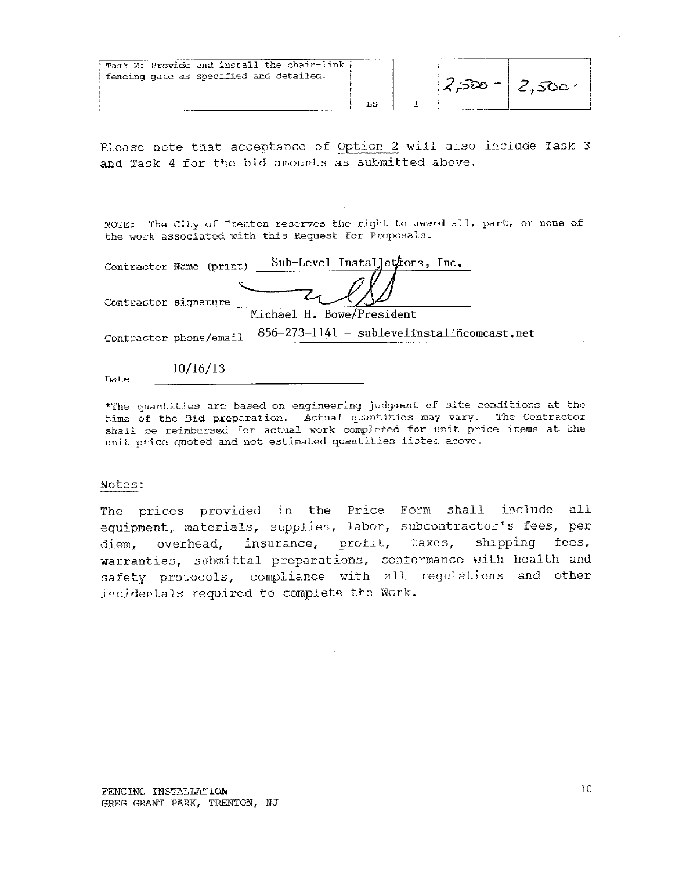| Task 2: Provide and install the chain-link<br>fencing gate as specified and detailed. |  | 12,500 |
|---------------------------------------------------------------------------------------|--|--------|
|                                                                                       |  |        |

NOTE: The City of Trenton reserves the right to award all, part, or none of the work associated with this Request for Proposals.

|                      | Contractor Name (print) | Sub-Level Installations, Inc.                                   |
|----------------------|-------------------------|-----------------------------------------------------------------|
|                      |                         |                                                                 |
| Contractor signature |                         |                                                                 |
|                      |                         | Michael H. Bowe/President                                       |
|                      | Contractor phone/email  | $856 - 273 - 1141 - sublevel install \bar{n} \text{concat.net}$ |
|                      |                         |                                                                 |
|                      | 10/16/13                |                                                                 |

Date

\*The quantities are based on engineering judgment of site conditions at the time of the Bid preparation. Actual quantities may vary. The Contractor shall be reimbursed for actual work completed for unit price items at the unit price quoted and not estimated quantities listed above.

#### Notes:

The prices provided in the Price Form shall include all equipment, materials, supplies, labor, subcontractor's fees, per diem, overhead, insurance, profit, taxes, shipping fees, warranties, submittal preparations, conformance with health and safety protocols, compliance with all regulations and other incidentals required to complete the Work.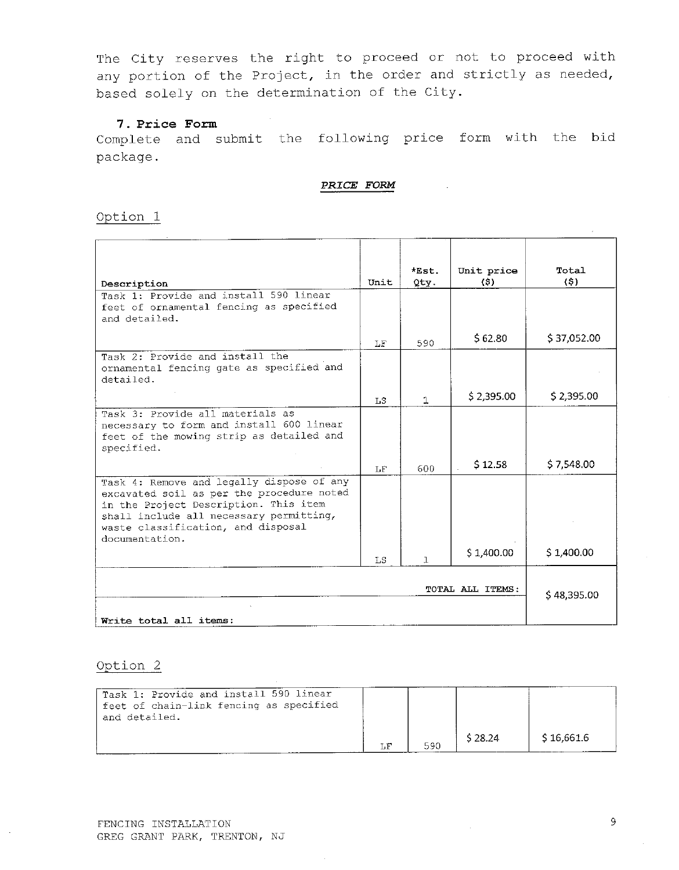#### 7. Price Form

Complete and submit the following price form with the bid package.

#### PRICE FORM

Option 1

|                                                                                                                                                                                                                                    |             | $*Est$ .     | Unit price | Total       |
|------------------------------------------------------------------------------------------------------------------------------------------------------------------------------------------------------------------------------------|-------------|--------------|------------|-------------|
| Description                                                                                                                                                                                                                        | Unit        | Qty.         | (3)        | (5)         |
| Task 1: Provide and install 590 linear<br>feet of ornamental fencing as specified<br>and detailed.                                                                                                                                 |             |              |            |             |
|                                                                                                                                                                                                                                    | LF          | 590          | \$62.80    | \$37,052.00 |
| Task 2: Provide and install the<br>ornamental fencing gate as specified and<br>detailed.                                                                                                                                           |             |              |            |             |
|                                                                                                                                                                                                                                    | LS.         | 1            | \$2,395.00 | \$2,395.00  |
| Task 3: Provide all materials as<br>necessary to form and install 600 linear<br>feet of the mowing strip as detailed and<br>specified.                                                                                             |             |              |            |             |
|                                                                                                                                                                                                                                    | LF          | 600          | S 12.58    | \$7,548.00  |
| Task 4: Remove and legally dispose of any<br>excavated soil as per the procedure noted<br>in the Project Description. This item<br>shall include all necessary permitting,<br>waste classification, and disposal<br>documentation. |             |              |            |             |
|                                                                                                                                                                                                                                    | LS          | $\mathbf{1}$ | \$1,400.00 | \$1,400.00  |
|                                                                                                                                                                                                                                    | \$48,395.00 |              |            |             |
| Write total all items:                                                                                                                                                                                                             |             |              |            |             |

| Task 1: Provide and install 590 linear<br>feet of chain-link fencing as specified<br>and detailed. |     |     |         |            |
|----------------------------------------------------------------------------------------------------|-----|-----|---------|------------|
|                                                                                                    | T.F | 590 | \$28.24 | \$16.661.6 |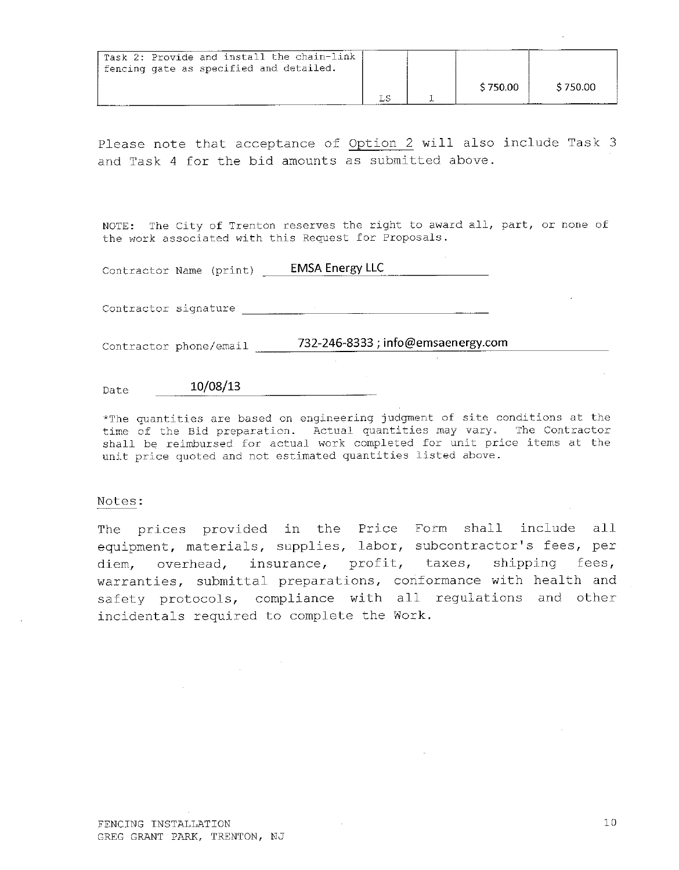| Task 2: Provide and install the chain-link<br>I fencing gate as specified and detailed. |  |          |          |
|-----------------------------------------------------------------------------------------|--|----------|----------|
|                                                                                         |  | \$750.00 | \$750.00 |

NOTE: The City of Trenton reserves the right to award all, part, or none of the work associated with this Request for Proposals.

Contractor Name (print) \_\_\_\_\_ EMSA Energy LLC

Contractor signature and the contractor

Contractor phone/email \_\_\_\_\_\_\_732-246-8333; info@emsaenergy.com

#### 10/08/13 Date

\*The quantities are based on engineering judgment of site conditions at the time of the Bid preparation. Actual quantities may vary. The Contractor shall be reimbursed for actual work completed for unit price items at the unit price quoted and not estimated quantities listed above.

#### Notes:

The prices provided in the Price Form shall include all equipment, materials, supplies, labor, subcontractor's fees, per diem, overhead, insurance, profit, taxes, shipping fees, warranties, submittal preparations, conformance with health and safety protocols, compliance with all regulations and other incidentals required to complete the Work.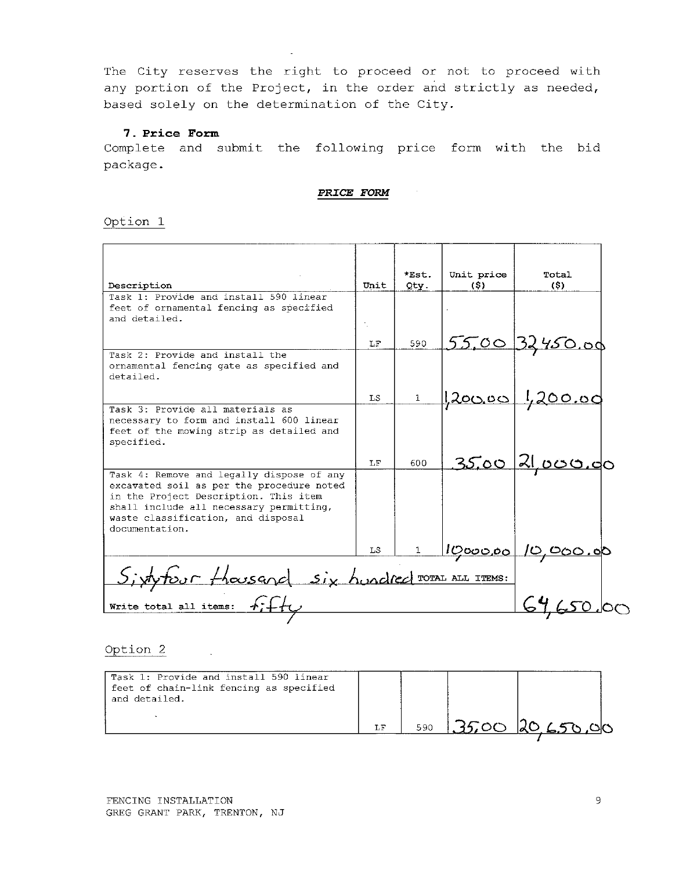# 7. Price Form

Complete and submit the following price form with the bid package.

PRICE FORM

#### Option 1

|                                            |      | $*Est$ .     | Unit price       | Total                          |  |
|--------------------------------------------|------|--------------|------------------|--------------------------------|--|
| Description                                | Unit | Qty.         | (S)              | (S)                            |  |
| Task 1: Provide and install 590 linear     |      |              |                  |                                |  |
| feet of ornamental fencing as specified    |      |              |                  |                                |  |
| and detailed.                              |      |              |                  |                                |  |
|                                            |      |              |                  |                                |  |
|                                            | LF.  | 590          |                  | 55,00 32450.00                 |  |
| Task 2: Provide and install the            |      |              |                  |                                |  |
| ornamental fencing gate as specified and   |      |              |                  |                                |  |
| detailed.                                  |      |              |                  |                                |  |
|                                            |      |              |                  |                                |  |
|                                            | T.S  | $\mathbf{1}$ | <u> 200.00  </u> | <u>1,200.00</u>                |  |
| Task 3: Provide all materials as           |      |              |                  |                                |  |
| necessary to form and install 600 linear   |      |              |                  |                                |  |
| feet of the mowing strip as detailed and   |      |              |                  |                                |  |
| specified.                                 |      |              |                  |                                |  |
|                                            | T.F  | 600          |                  | <u>35,00 21,000.00</u>         |  |
| Task 4: Remove and legally dispose of any  |      |              |                  |                                |  |
| excavated soil as per the procedure noted  |      |              |                  |                                |  |
| in the Project Description. This item      |      |              |                  |                                |  |
| shall include all necessary permitting,    |      |              |                  |                                |  |
| waste classification, and disposal         |      |              |                  |                                |  |
| documentation.                             |      |              |                  |                                |  |
|                                            | LS   |              |                  | <u>  ဟု၀၀၀.၀၀   ပ, ၀၀၀.၀</u> ၀ |  |
|                                            |      |              |                  |                                |  |
| four thousand six hundred TOTAL ALL ITEMS: |      |              |                  |                                |  |
|                                            |      |              |                  |                                |  |
| Write total all items:                     |      |              |                  |                                |  |
|                                            |      |              |                  |                                |  |

### Option<sub>2</sub>

| Task 1: Provide and install 590 linear<br>feet of chain-link fencing as specified<br>and detailed. |     |     |                  |
|----------------------------------------------------------------------------------------------------|-----|-----|------------------|
|                                                                                                    | T.F | 590 | 1.3500 20 650,00 |

 $\sim$   $\sim$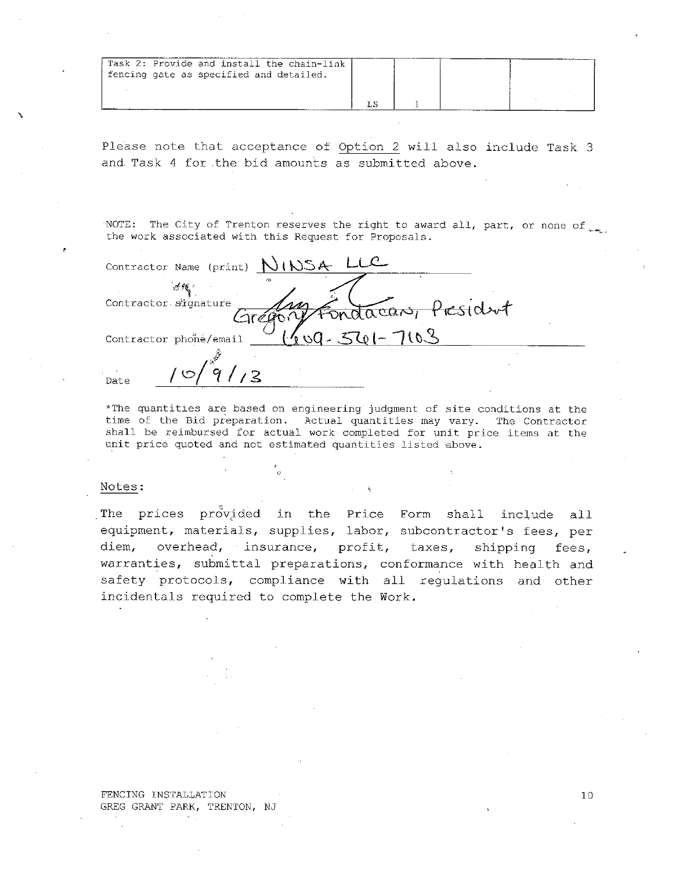| Task 2: Provide and install the chain-link<br>fencing gate as specified and detailed. |  |  |
|---------------------------------------------------------------------------------------|--|--|
|                                                                                       |  |  |

NOTE: The City of Trenton reserves the right to award all, part, or none of the work associated with this Request for Proposals.

| Contractor Name (print) $NWSA$                          |  |
|---------------------------------------------------------|--|
| Contractor signature<br>' <del>ies</del> tdent<br>aacas |  |
| $501-$<br>Contractor phone/email                        |  |
| $\overline{2}$<br>Date                                  |  |

\*The quantities are based on engineering judgment of site conditions at the time of the Bid preparation. Actual quantities may vary. The Contractor shall be reimbursed for actual work completed for unit price items at the unit price quoted and not estimated quantities listed above.

#### Notes:

The prices provided in the Price Form shall include all equipment, materials, supplies, labor, subcontractor's fees, per diem, overhead, insurance, profit, taxes, shipping fees, warranties, submittal preparations, conformance with health and safety protocols, compliance with all regulations and other incidentals required to complete the Work.

FENCING INSTALLATION GREG GRANT PARK, TRENTON, NJ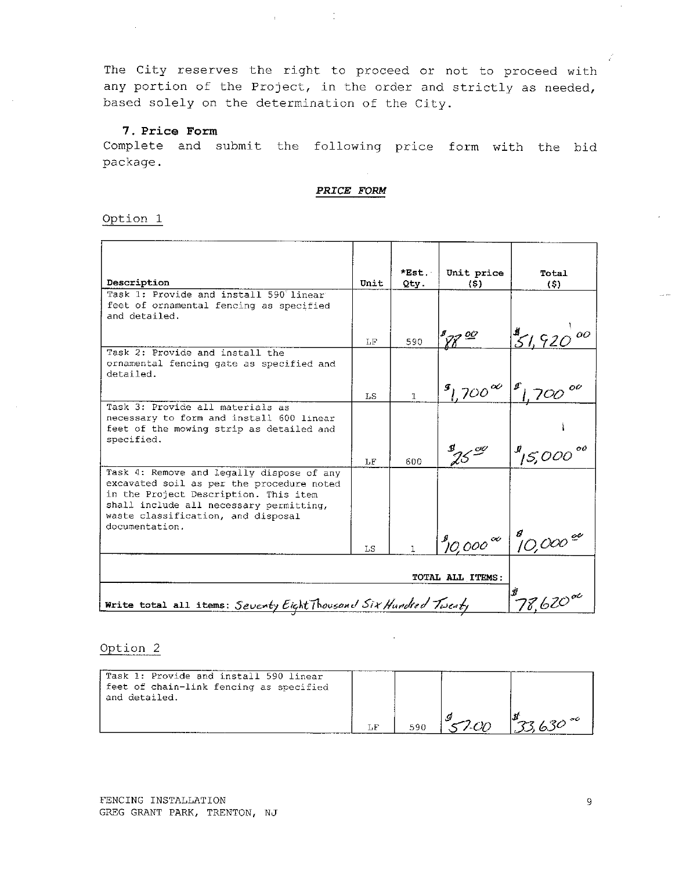$\label{eq:2.1} \frac{1}{\sqrt{2}}\int_{\mathbb{R}^{2}}\left|\frac{d\mathbf{r}}{d\mathbf{r}}\right|^{2}d\mathbf{r}^{2}d\mathbf{r}^{2}d\mathbf{r}^{2}d\mathbf{r}^{2}d\mathbf{r}^{2}d\mathbf{r}^{2}d\mathbf{r}^{2}d\mathbf{r}^{2}d\mathbf{r}^{2}d\mathbf{r}^{2}d\mathbf{r}^{2}d\mathbf{r}^{2}d\mathbf{r}^{2}d\mathbf{r}^{2}d\mathbf{r}^{2}d\mathbf{r}^{2}d\math$ 

#### 7. Price Form

Complete and submit the following price form with the bid package.

PRICE FORM

#### Option 1

| Description                                                                                                                                                                                                                        | Unit                   | *Est.<br>Qty. | Unit price<br>(s)                          | Total<br>(5)                                                          |
|------------------------------------------------------------------------------------------------------------------------------------------------------------------------------------------------------------------------------------|------------------------|---------------|--------------------------------------------|-----------------------------------------------------------------------|
| Task 1: Provide and install 590 linear<br>feet of ornamental fencing as specified<br>and detailed.                                                                                                                                 |                        |               |                                            |                                                                       |
|                                                                                                                                                                                                                                    | LF                     | 590           | $\mathscr{C}$                              | $51,920^{00}$                                                         |
| Task 2: Provide and install the<br>ornamental fencing gate as specified and<br>detailed.                                                                                                                                           |                        |               |                                            |                                                                       |
|                                                                                                                                                                                                                                    | LS.                    | $\mathbf{1}$  | $\frac{1}{2}1.700^{\infty}$                |                                                                       |
| Task 3: Provide all materials as<br>necessary to form and install 600 linear<br>feet of the mowing strip as detailed and<br>specified.                                                                                             |                        |               |                                            |                                                                       |
|                                                                                                                                                                                                                                    | LF                     | 600           | $\mathcal{D}_{\gamma\zeta}^{\alpha\alpha}$ | $\frac{10}{15,000}$ <sup>oo</sup>                                     |
| Task 4: Remove and legally dispose of any<br>excavated soil as per the procedure noted<br>in the Project Description. This item<br>shall include all necessary permitting,<br>waste classification, and disposal<br>documentation. |                        |               |                                            |                                                                       |
|                                                                                                                                                                                                                                    | LS                     |               |                                            | $\int_{0}^{8}$ 0,000 $\infty$ $\int_{0}^{8}$ 10,000 $\frac{e^{6}}{2}$ |
|                                                                                                                                                                                                                                    | TOTAL ALL ITEMS:       |               |                                            |                                                                       |
| Write total all items: Seventy Eight Thousand Six Hundred Twenty                                                                                                                                                                   | $78.620$ <sup>oc</sup> |               |                                            |                                                                       |

| Task 1: Provide and install 590 linear<br>feet of chain-link fencing as specified<br>and detailed. |     |     |  |
|----------------------------------------------------------------------------------------------------|-----|-----|--|
|                                                                                                    | 590 | . 9 |  |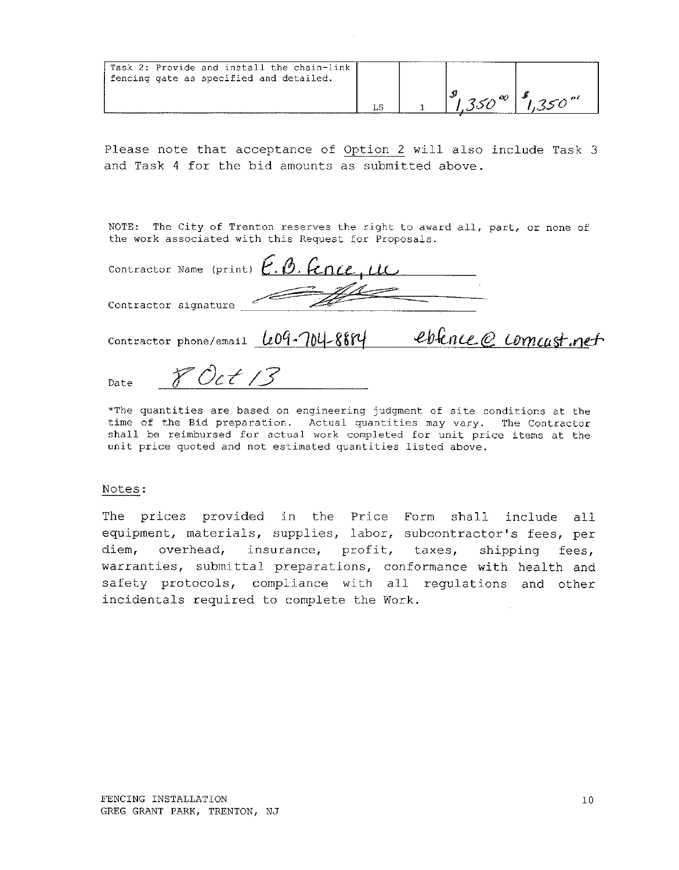| Task 2: Provide and install the chain-link<br>fencing gate as specified and detailed. |  |  |
|---------------------------------------------------------------------------------------|--|--|
|                                                                                       |  |  |

NOTE: The City of Trenton reserves the right to award all, part, or none of the work associated with this Request for Proposals.

| Contractor Name (print) E. B. Fence, LLC            |                       |
|-----------------------------------------------------|-----------------------|
| Contractor signature                                |                       |
| Contractor phone/email $\ell 09 - 704 - 8874$       | eblence @ comcast.net |
| Date $\mathcal{F} \mathcal{O}_c \neq \mathcal{O}_c$ |                       |

\*The quantities are based on engineering judgment of site conditions at the time of the Bid preparation. Actual quantities may vary. The Contractor shall be reimbursed for actual work completed for unit price items at the unit price quoted and not estimated quantities listed above.

### Notes:

The prices provided in the Price Form shall include all equipment, materials, supplies, labor, subcontractor's fees, per overhead, insurance, profit, taxes, diem, shipping fees, warranties, submittal preparations, conformance with health and safety protocols, compliance with all regulations and other incidentals required to complete the Work.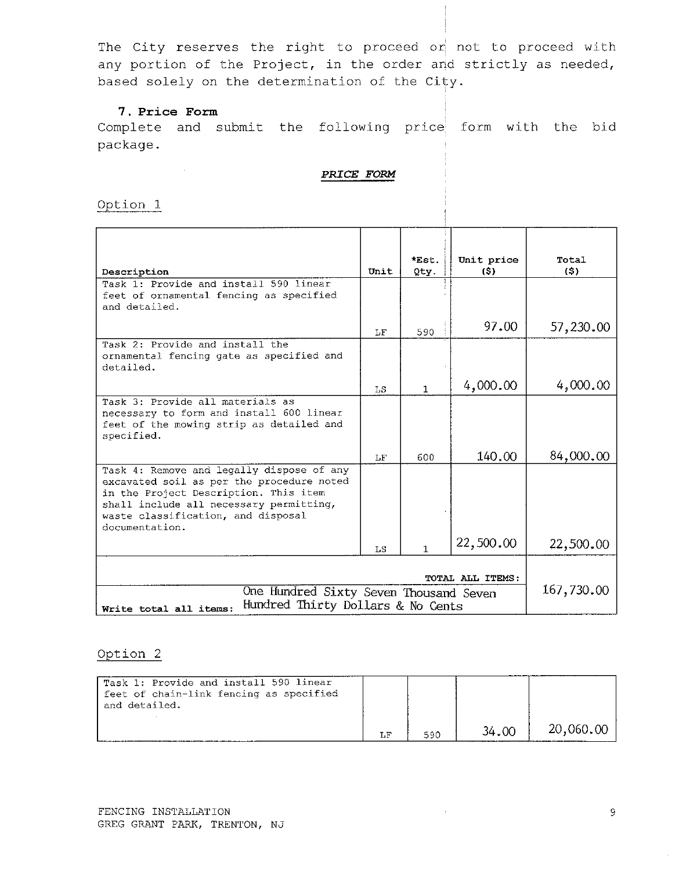# 7. Price Form

 $\sim 100$ 

Complete and submit the following price form with the bid package.

#### PRICE FORM

Option 1

|                                                                                                                                                                                                                                    | Unit       | *Est.<br>Qty. | Unit price<br>(5) | Total<br>(S) |
|------------------------------------------------------------------------------------------------------------------------------------------------------------------------------------------------------------------------------------|------------|---------------|-------------------|--------------|
| Description                                                                                                                                                                                                                        |            |               |                   |              |
| Task 1: Provide and install 590 linear<br>feet of ornamental fencing as specified<br>and detailed.                                                                                                                                 |            |               |                   |              |
|                                                                                                                                                                                                                                    | LF         | 590           | 97.00             | 57,230.00    |
| Task 2: Provide and install the<br>ornamental fencing gate as specified and<br>detailed.                                                                                                                                           |            |               |                   |              |
|                                                                                                                                                                                                                                    | LS.        | $\mathbf{1}$  | 4,000.00          | 4,000,00     |
| Task 3: Provide all materials as<br>necessary to form and install 600 linear<br>feet of the mowing strip as detailed and<br>specified.                                                                                             |            |               |                   |              |
|                                                                                                                                                                                                                                    | $\rm{LF}$  | 600           | 140.00            | 84,000.00    |
| Task 4: Remove and legally dispose of any<br>excavated soil as per the procedure noted<br>in the Project Description. This item<br>shall include all necessary permitting,<br>waste classification, and disposal<br>documentation. |            |               |                   |              |
|                                                                                                                                                                                                                                    | LS         | 1             | 22,500.00         | 22,500.00    |
| One Hundred Sixty Seven Thousand Seven                                                                                                                                                                                             | 167,730.00 |               |                   |              |
| Hundred Thirty Dollars & No Cents<br>Write total all items:                                                                                                                                                                        |            |               |                   |              |

# Option 2

| Task 1: Provide and install 590 linear<br>feet of chain-link fencing as specified<br>and detailed. |     |     |       |           |
|----------------------------------------------------------------------------------------------------|-----|-----|-------|-----------|
|                                                                                                    | LF. | 590 | 34.00 | 20,060.00 |

 $\sim$   $t_{\rm c}$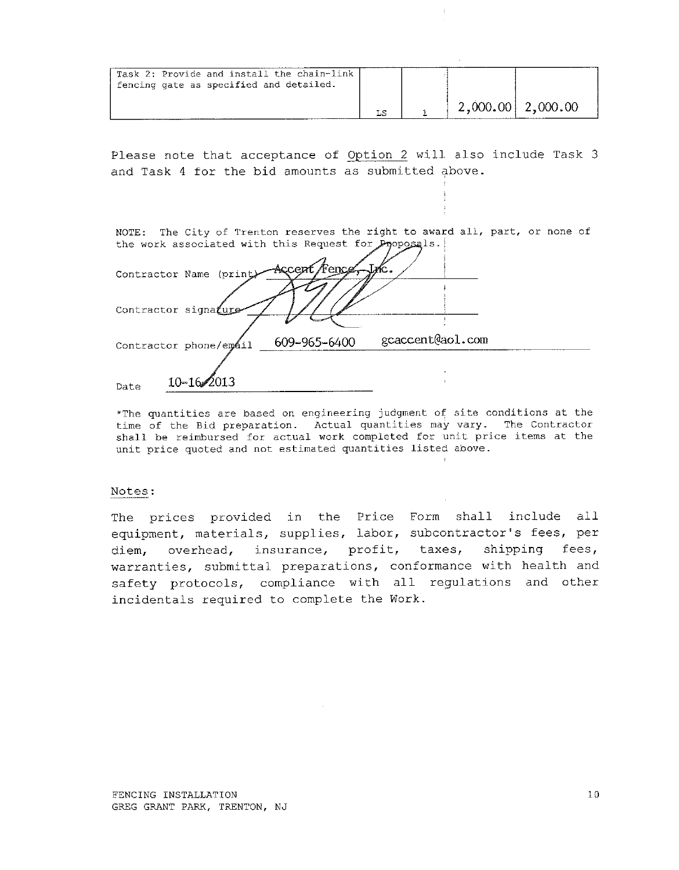| Task 2: Provide and install the chain-link<br>fencing gate as specified and detailed. |  |                     |  |
|---------------------------------------------------------------------------------------|--|---------------------|--|
|                                                                                       |  | $2,000.00$ 2,000.00 |  |

| NOTE: The City of Trenton reserves the right to award all, part, or none of |              |                  |  |
|-----------------------------------------------------------------------------|--------------|------------------|--|
| the work associated with this Request for Proposals.                        |              |                  |  |
|                                                                             |              |                  |  |
| Contractor Name (print)                                                     | Accent Fence |                  |  |
|                                                                             |              |                  |  |
|                                                                             |              |                  |  |
| Contractor signature                                                        |              |                  |  |
|                                                                             |              |                  |  |
| Contractor phone/email                                                      | 609-965-6400 | gcaccent@aol.com |  |
|                                                                             |              |                  |  |
|                                                                             |              |                  |  |
| $10 - 16$<br>Date                                                           |              |                  |  |
|                                                                             |              |                  |  |

\*The quantities are based on engineering judgment of site conditions at the time of the Bid preparation. Actual quantities may vary. The Contractor shall be reimbursed for actual work completed for unit price items at the unit price quoted and not estimated quantities listed above.

#### Notes:

The prices provided in the Price Form shall include all equipment, materials, supplies, labor, subcontractor's fees, per diem, overhead, insurance, profit, taxes, shipping fees, warranties, submittal preparations, conformance with health and safety protocols, compliance with all regulations and other incidentals required to complete the Work.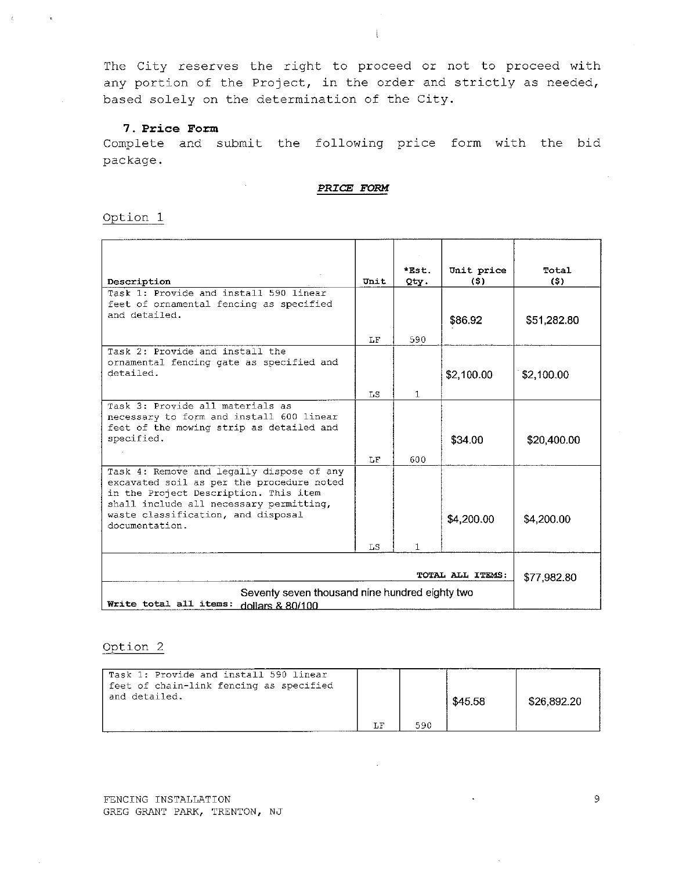$\frac{1}{2}$ 

#### 7. Price Form

Complete and submit the following price form with the bid package.

PRICE FORM

Option 1

| Description                                                                          | Unit | *Est.<br>Qty. | Unit price<br>(\$) | Total<br>(5) |
|--------------------------------------------------------------------------------------|------|---------------|--------------------|--------------|
| Task 1: Provide and install 590 linear                                               |      |               |                    |              |
| feet of ornamental fencing as specified                                              |      |               |                    |              |
| and detailed.                                                                        |      |               | \$86.92            | \$51,282.80  |
|                                                                                      | LF.  | 590           |                    |              |
| Task 2: Provide and install the                                                      |      |               |                    |              |
| ornamental fencing gate as specified and<br>detailed.                                |      |               |                    |              |
|                                                                                      |      |               | \$2,100.00         | \$2,100.00   |
|                                                                                      | LS   | 1.            |                    |              |
| Task 3: Provide all materials as                                                     |      |               |                    |              |
| necessary to form and install 600 linear<br>feet of the mowing strip as detailed and |      |               |                    |              |
| specified.                                                                           |      |               | \$34.00            | \$20,400.00  |
|                                                                                      | LF   | 600           |                    |              |
| Task 4: Remove and legally dispose of any                                            |      |               |                    |              |
| excavated soil as per the procedure noted                                            |      |               |                    |              |
| in the Project Description. This item                                                |      |               |                    |              |
| shall include all necessary permitting,<br>waste classification, and disposal        |      |               |                    |              |
| documentation.                                                                       |      |               | \$4,200.00         | \$4,200.00   |
|                                                                                      |      |               |                    |              |
|                                                                                      | LS   | 1.            |                    |              |
|                                                                                      |      |               |                    |              |
|                                                                                      |      |               | TOTAL ALL ITEMS:   | \$77.982.80  |
| Seventy seven thousand nine hundred eighty two                                       |      |               |                    |              |
| Write total all items:<br>dollars & 80/100                                           |      |               |                    |              |

| Task 1: Provide and install 590 linear<br>feet of chain-link fencing as specified<br>and detailed. |    |     | \$45.58 | \$26,892.20 |
|----------------------------------------------------------------------------------------------------|----|-----|---------|-------------|
|                                                                                                    | LF | 590 |         |             |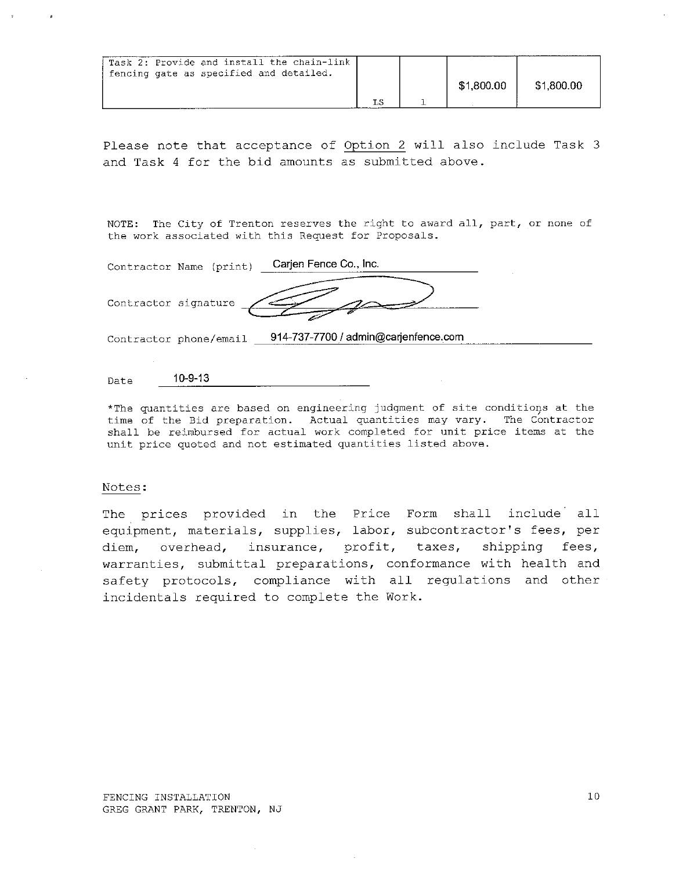| Task 2: Provide and install the chain-link<br>fencing gate as specified and detailed. |  | \$1,800.00 | \$1,800.00 |
|---------------------------------------------------------------------------------------|--|------------|------------|
|                                                                                       |  |            |            |

NOTE: The City of Trenton reserves the right to award all, part, or none of the work associated with this Request for Proposals.

|                      | Contractor Name (print) | Carjen Fence Co., Inc.               |  |
|----------------------|-------------------------|--------------------------------------|--|
| Contractor signature |                         |                                      |  |
|                      | Contractor phone/email  | 914-737-7700 / admin@carjenfence.com |  |
|                      |                         |                                      |  |

 $10 - 9 - 13$ Date

\*The quantities are based on engineering judgment of site conditions at the time of the Bid preparation. Actual quantities may vary. The Contractor shall be reimbursed for actual work completed for unit price items at the unit price quoted and not estimated quantities listed above.

#### Notes:

The prices provided in the Price Form shall include all equipment, materials, supplies, labor, subcontractor's fees, per diem, overhead, insurance, profit, taxes, shipping fees, warranties, submittal preparations, conformance with health and safety protocols, compliance with all regulations and other incidentals required to complete the Work.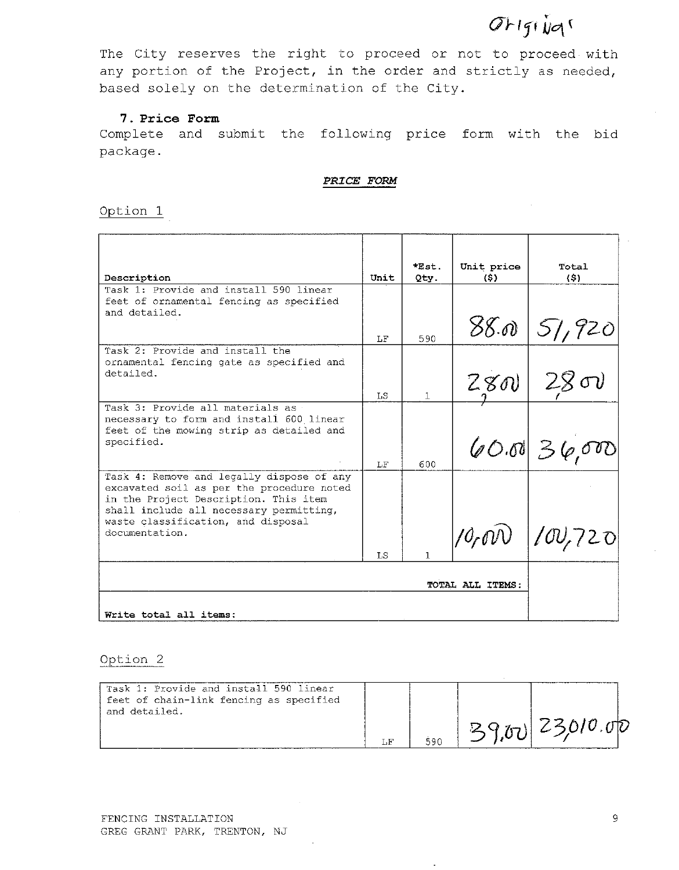# Original

The City reserves the right to proceed or not to proceed with any portion of the Project, in the order and strictly as needed, based solely on the determination of the City.

# 7. Price Form

Complete and submit the following price form with the bid package.

# PRICE FORM

Option 1

| Description                                                                            | Unit | $*Est.$<br>Qty. | Unit price<br>(S) | Total<br>(5)         |
|----------------------------------------------------------------------------------------|------|-----------------|-------------------|----------------------|
| Task 1: Provide and install 590 linear                                                 |      |                 |                   |                      |
| feet of ornamental fencing as specified<br>and detailed.                               |      |                 |                   |                      |
|                                                                                        | LF   | 590             |                   | 88.005/720           |
| Task 2: Provide and install the                                                        |      |                 |                   |                      |
| ornamental fencing gate as specified and<br>detailed.                                  |      |                 |                   |                      |
|                                                                                        | LS.  | $\mathbb{1}$    |                   | 28012800             |
| Task 3: Provide all materials as<br>necessary to form and install 600 linear           |      |                 |                   |                      |
| feet of the mowing strip as detailed and                                               |      |                 |                   |                      |
| specified.                                                                             |      |                 |                   | $[60.01] \geq 6.000$ |
|                                                                                        | LF   | 600             |                   |                      |
| Task 4: Remove and legally dispose of any<br>excavated soil as per the procedure noted |      |                 |                   |                      |
| in the Project Description. This item                                                  |      |                 |                   |                      |
| shall include all necessary permitting,<br>waste classification, and disposal          |      |                 |                   |                      |
| documentation.                                                                         |      |                 |                   | $10,000$ $100,720$   |
|                                                                                        | T.S  | 1               |                   |                      |
|                                                                                        |      |                 |                   |                      |
|                                                                                        |      |                 |                   |                      |
| Write total all items:                                                                 |      |                 |                   |                      |

# Option 2

| Task 1: Provide and install 590 linear<br>feet of chain-link fencing as specified<br>and detailed. |     | $ O(T_{12}) $ 23,010.00 |  |
|----------------------------------------------------------------------------------------------------|-----|-------------------------|--|
|                                                                                                    | 590 |                         |  |

 $\overline{a}$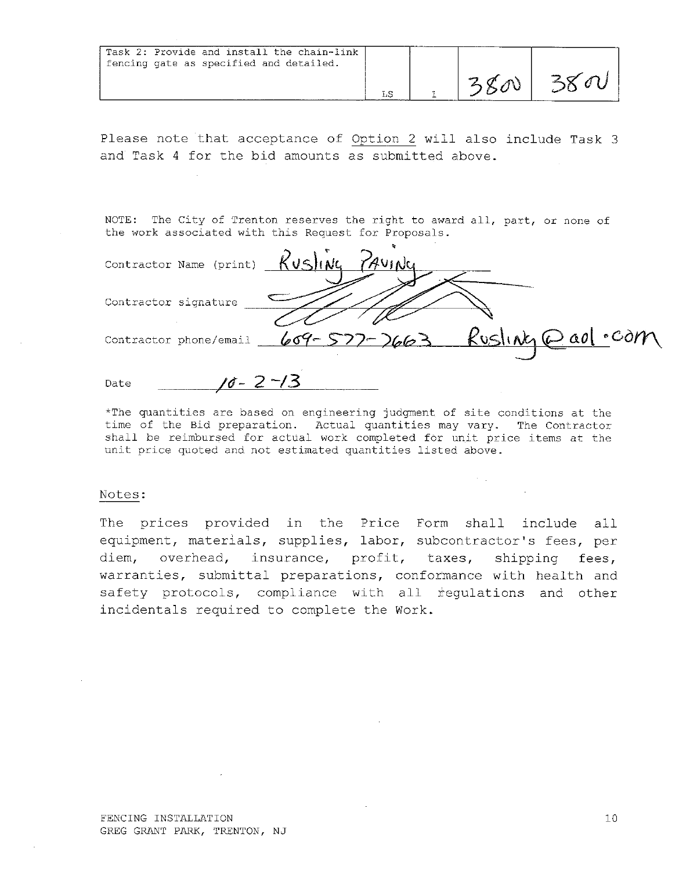| Task 2: Provide and install the chain-link<br>fencing gate as specified and detailed. |  |  |
|---------------------------------------------------------------------------------------|--|--|
|                                                                                       |  |  |

NOTE: The City of Trenton reserves the right to award all, part, or none of the work associated with this Request for Proposals.

Contractor Name (print)  $KvS$  (NG) Contractor signature  $Reslink_1 @a0$  . com Contractor phone/email  $69 - 52$  $\cdot$ 6  $\geq$  $10 - 2 - 13$ Date

 $\mathcal{A}=\mathcal{A}$  .

\*The quantities are based on engineering judgment of site conditions at the time of the Bid preparation. Actual quantities may vary. The Contractor shall be reimbursed for actual work completed for unit price items at the unit price quoted and not estimated quantities listed above.

#### Notes:

The prices provided in the Price Form shall include all equipment, materials, supplies, labor, subcontractor's fees, per diem, overhead, insurance, profit, taxes, shipping fees, warranties, submittal preparations, conformance with health and safety protocols, compliance with all regulations and other incidentals required to complete the Work.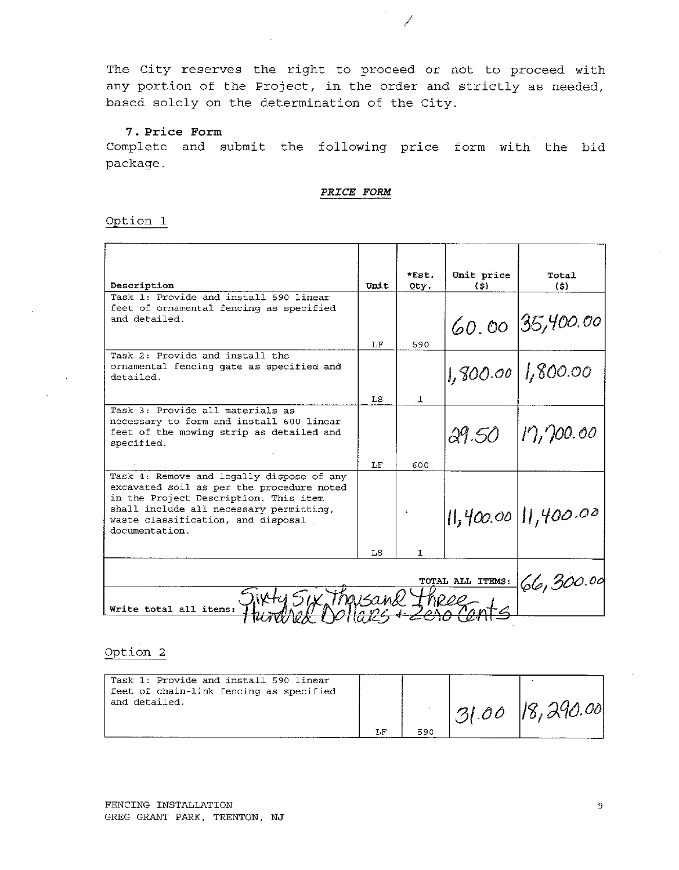and a fair

#### 7. Price Form

Complete and submit the following price form with the bid package.

PRICE FORM

#### Option 1

|                                                                                    |           | *Est.        | Unit price | Total                   |  |  |  |
|------------------------------------------------------------------------------------|-----------|--------------|------------|-------------------------|--|--|--|
| Description                                                                        | Unit      | Qty.         | (S)        | (5)                     |  |  |  |
| Task 1: Provide and install 590 linear                                             |           |              |            |                         |  |  |  |
| feet of ornamental fencing as specified                                            |           |              |            |                         |  |  |  |
| and detailed.                                                                      |           |              |            | 60.00 35,400.00         |  |  |  |
|                                                                                    | T.F       | 590          |            |                         |  |  |  |
| Task 2: Provide and install the                                                    |           |              |            |                         |  |  |  |
| ornamental fencing gate as specified and<br>detailed.                              |           |              |            | $1,900.00$   1,800.00   |  |  |  |
|                                                                                    | T.S       | $\mathbf{1}$ |            |                         |  |  |  |
| Task 3: Provide all materials as                                                   |           |              |            |                         |  |  |  |
| necessary to form and install 600 linear                                           |           |              |            |                         |  |  |  |
| feet of the mowing strip as detailed and<br>specified.                             |           |              | 29.50      | 17,700.00               |  |  |  |
|                                                                                    |           |              |            |                         |  |  |  |
|                                                                                    | LF        | 600.         |            |                         |  |  |  |
| Task 4: Remove and legally dispose of any                                          |           |              |            |                         |  |  |  |
| excavated soil as per the procedure noted<br>in the Project Description. This item |           |              |            |                         |  |  |  |
| shall include all necessary permitting,                                            |           |              |            |                         |  |  |  |
| waste classification, and disposal                                                 |           |              |            | $  $ ,400.00   1,400.00 |  |  |  |
| documentation.                                                                     |           |              |            |                         |  |  |  |
|                                                                                    |           |              |            |                         |  |  |  |
|                                                                                    | LS        | $\mathbf{1}$ |            |                         |  |  |  |
|                                                                                    |           |              |            |                         |  |  |  |
|                                                                                    | 66,300.00 |              |            |                         |  |  |  |
| SIY Ingisamu Thepp<br>Write total all items:                                       |           |              |            |                         |  |  |  |
|                                                                                    |           |              |            |                         |  |  |  |

| Task 1: Provide and install 590 linear<br>feet of chain-link fencing as specified<br>and detailed. |     | $131.00$ 18,290.00 |
|----------------------------------------------------------------------------------------------------|-----|--------------------|
|                                                                                                    | 590 |                    |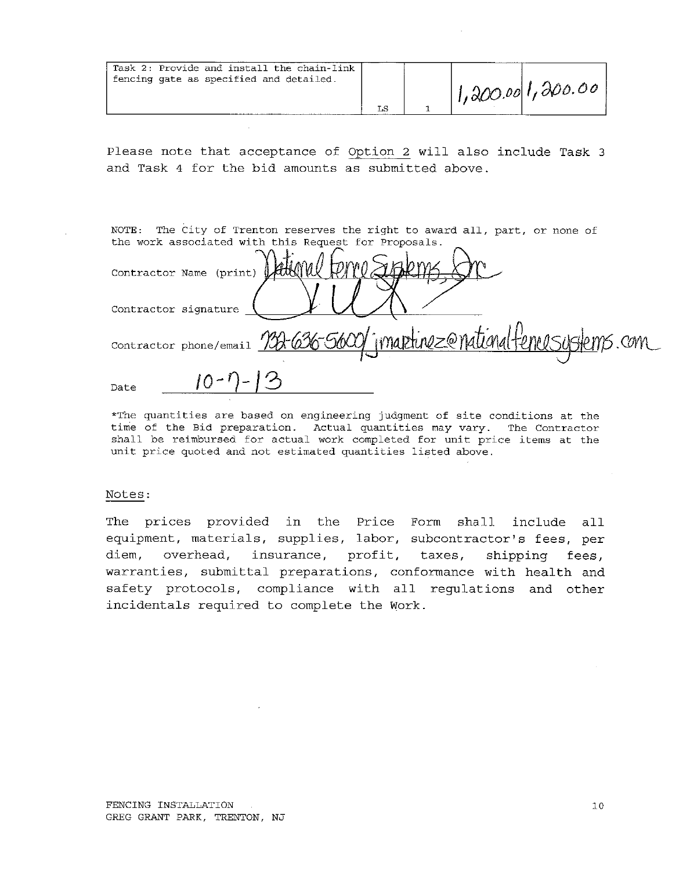| Task 2: Provide and install the chain-link<br>fencing gate as specified and detailed. | LS |  | 1,200.001,200.00 |  |
|---------------------------------------------------------------------------------------|----|--|------------------|--|
|---------------------------------------------------------------------------------------|----|--|------------------|--|

NOTE: The City of Trenton reserves the right to award all, part, or none of the work associated with this Request for Proposals.

Contractor Name (print) Contractor signature Contractor phone/email 10 Date

\*The quantities are based on engineering judgment of site conditions at the time of the Bid preparation. Actual quantities may vary. The Contractor shall be reimbursed for actual work completed for unit price items at the unit price quoted and not estimated quantities listed above.

#### Notes:

The prices provided in the Price Form shall include all equipment, materials, supplies, labor, subcontractor's fees, per diem, overhead, insurance, profit, taxes, shipping fees, warranties, submittal preparations, conformance with health and safety protocols, compliance with all regulations and other incidentals required to complete the Work.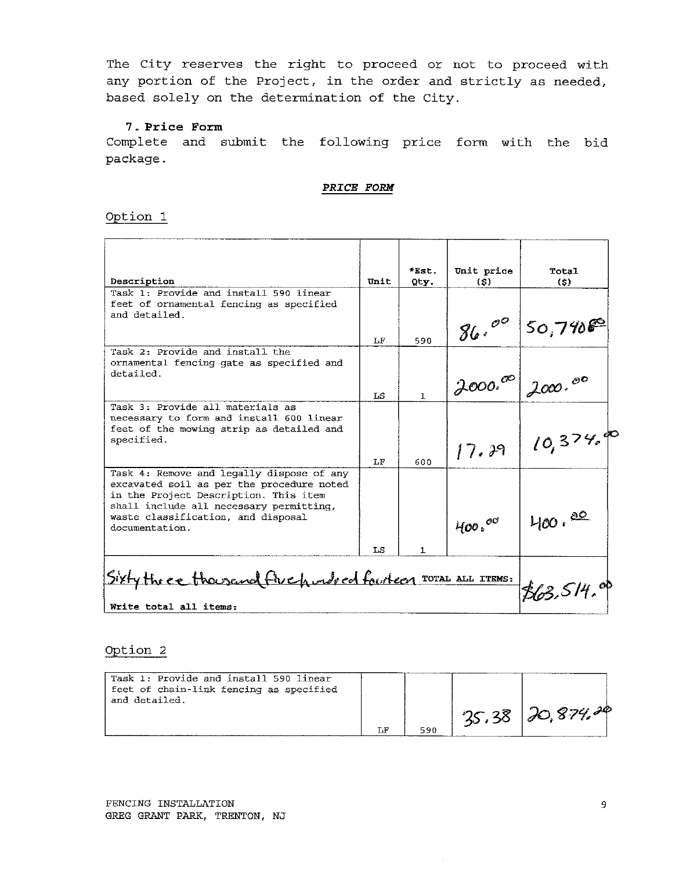# 7. Price Form

Complete and submit the following price form with the bid package.

#### PRICE FORM

Option 1

| Description                                                                                                                                                                                                                        | Unit       | *Est.<br>Qty. | Unit price<br>(S) | Total<br>(S)   |
|------------------------------------------------------------------------------------------------------------------------------------------------------------------------------------------------------------------------------------|------------|---------------|-------------------|----------------|
| Task 1: Provide and install 590 linear<br>feet of ornamental fencing as specified<br>and detailed.                                                                                                                                 |            |               |                   |                |
|                                                                                                                                                                                                                                    | LF         | 590           | 86.00             | $50,790^\circ$ |
| Task 2: Provide and install the<br>ornamental fencing gate as specified and<br>detailed.                                                                                                                                           |            |               |                   |                |
|                                                                                                                                                                                                                                    | LS         | $\mathbf{1}$  | 2000.00           | 2000.00        |
| Task 3: Provide all materials as<br>necessary to form and install 600 linear<br>feet of the mowing strip as detailed and<br>specified.                                                                                             | LF         | 600           | 17.39             | 10,374,00      |
| Task 4: Remove and legally dispose of any<br>excavated soil as per the procedure noted<br>in the Project Description. This item<br>shall include all necessary permitting,<br>waste classification, and disposal<br>documentation. | LS         | 1             | $400 \cdot ^{60}$ | $400 \cdot 80$ |
| Sixty the ee thousand five hunded fourteen TOTAL ALL ITEMS:<br>Write total all items:                                                                                                                                              | 863.514.01 |               |                   |                |

| Task 1: Provide and install 590 linear<br>feet of chain-link fencing as specified<br>and detailed. |     |                      |
|----------------------------------------------------------------------------------------------------|-----|----------------------|
|                                                                                                    |     | $135.38$ $20.874.28$ |
|                                                                                                    | 590 |                      |